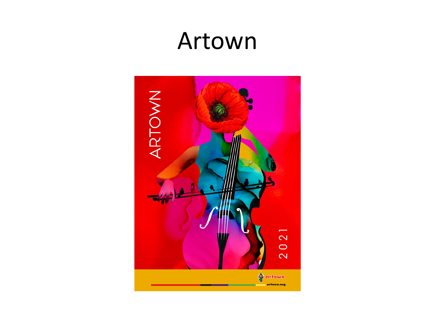#### Artown

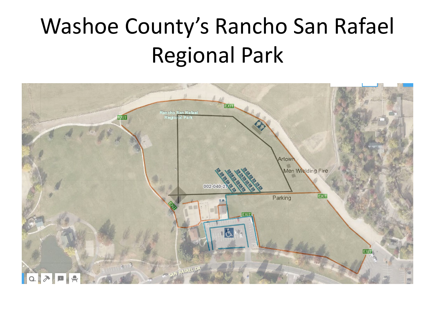## Washoe County's Rancho San Rafael Regional Park

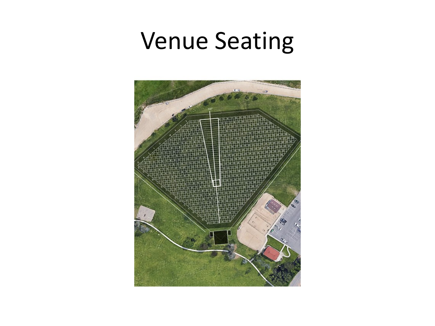#### Venue Seating

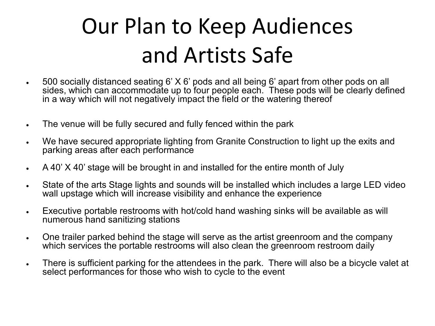## Our Plan to Keep Audiences and Artists Safe

- 500 socially distanced seating 6' X 6' pods and all being 6' apart from other pods on all sides, which can accommodate up to four people each. These pods will be clearly defined in a way which will not negatively impact the field or the watering thereof
- The venue will be fully secured and fully fenced within the park
- We have secured appropriate lighting from Granite Construction to light up the exits and parking areas after each performance
- A 40' X 40' stage will be brought in and installed for the entire month of July
- State of the arts Stage lights and sounds will be installed which includes a large LED video wall upstage which will increase visibility and enhance the experience
- Executive portable restrooms with hot/cold hand washing sinks will be available as will numerous hand sanitizing stations
- One trailer parked behind the stage will serve as the artist greenroom and the company which services the portable restrooms will also clean the greenroom restroom daily
- There is sufficient parking for the attendees in the park. There will also be a bicycle valet at select performances for those who wish to cycle to the event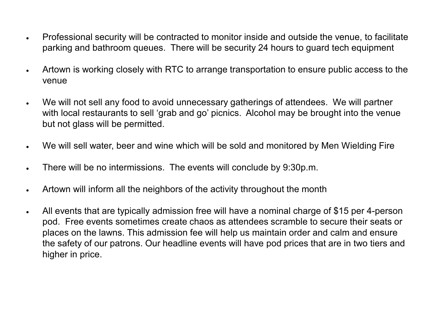- Professional security will be contracted to monitor inside and outside the venue, to facilitate parking and bathroom queues. There will be security 24 hours to guard tech equipment
- Artown is working closely with RTC to arrange transportation to ensure public access to the venue
- We will not sell any food to avoid unnecessary gatherings of attendees. We will partner with local restaurants to sell 'grab and go' picnics. Alcohol may be brought into the venue but not glass will be permitted.
- We will sell water, beer and wine which will be sold and monitored by Men Wielding Fire
- There will be no intermissions. The events will conclude by 9:30p.m.
- Artown will inform all the neighbors of the activity throughout the month
- All events that are typically admission free will have a nominal charge of \$15 per 4-person pod. Free events sometimes create chaos as attendees scramble to secure their seats or places on the lawns. This admission fee will help us maintain order and calm and ensure the safety of our patrons. Our headline events will have pod prices that are in two tiers and higher in price.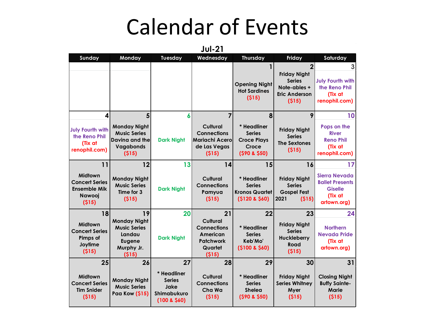#### Calendar of Events

**Sunday Monday Tuesday Wednesday Thursday Friday Saturday 1 2 3 Opening Night Hot Sardines (\$15) Friday Night Series Note-ables + Eric Anderson (\$15) July Fourth with the Reno Phil (Tix at renophil.com) 4 5 6 7 8 9 10 July Fourth with the Reno Phil (Tix at renophil.com) Monday Night Music Series Davina and the Vagabonds (\$15) Dark Night Cultural Connections Mariachi Acero de Las Vegas (\$15) \* Headliner Series Croce Plays Croce (\$90 & \$50) Friday Night Series The Sextones (\$15) Pops on the River Reno Phil (Tix at renophil.com) 11 12 13 14 15 16 17 Midtown Concert Series Ensemble Mik Nawooj (\$15) Monday Night Music Series Time for 3 (\$15) Dark Night Cultural Connections Pamyua (\$15) \* Headliner Series Kronos Quartet (\$120 & \$60) Friday Night Series Gospel Fest 2021 (\$15) Sierra Nevada Ballet Presents Giselle (Tix at artown.org) 18 19 20 21 22 23 24 Midtown Concert Series Pimps of Joytime (\$15) Monday Night Music Series Landau Eugene Murphy Jr. (\$15) Dark Night Cultural Connections American Patchwork Quartet (\$15) \* Headliner Series Keb'Mo' (\$100 & \$60) Friday Night Series Huckleberry Road (\$15) Northern Nevada Pride (Tix at artown.org) 25 26 27 28 29 30 31 Midtown Concert Series Tim Snider (\$15) Monday Night Music Series Paa Kow (\$15) \* Headliner Series Jake Shimabukuro (100 & \$60) Cultural Connections Cha Wa (\$15) \* Headliner Series Shelea (\$90 & \$50) Friday Night Series Whitney Myer (\$15) Closing Night Buffy Sainte-Marie (\$15)**

**Jul-21**